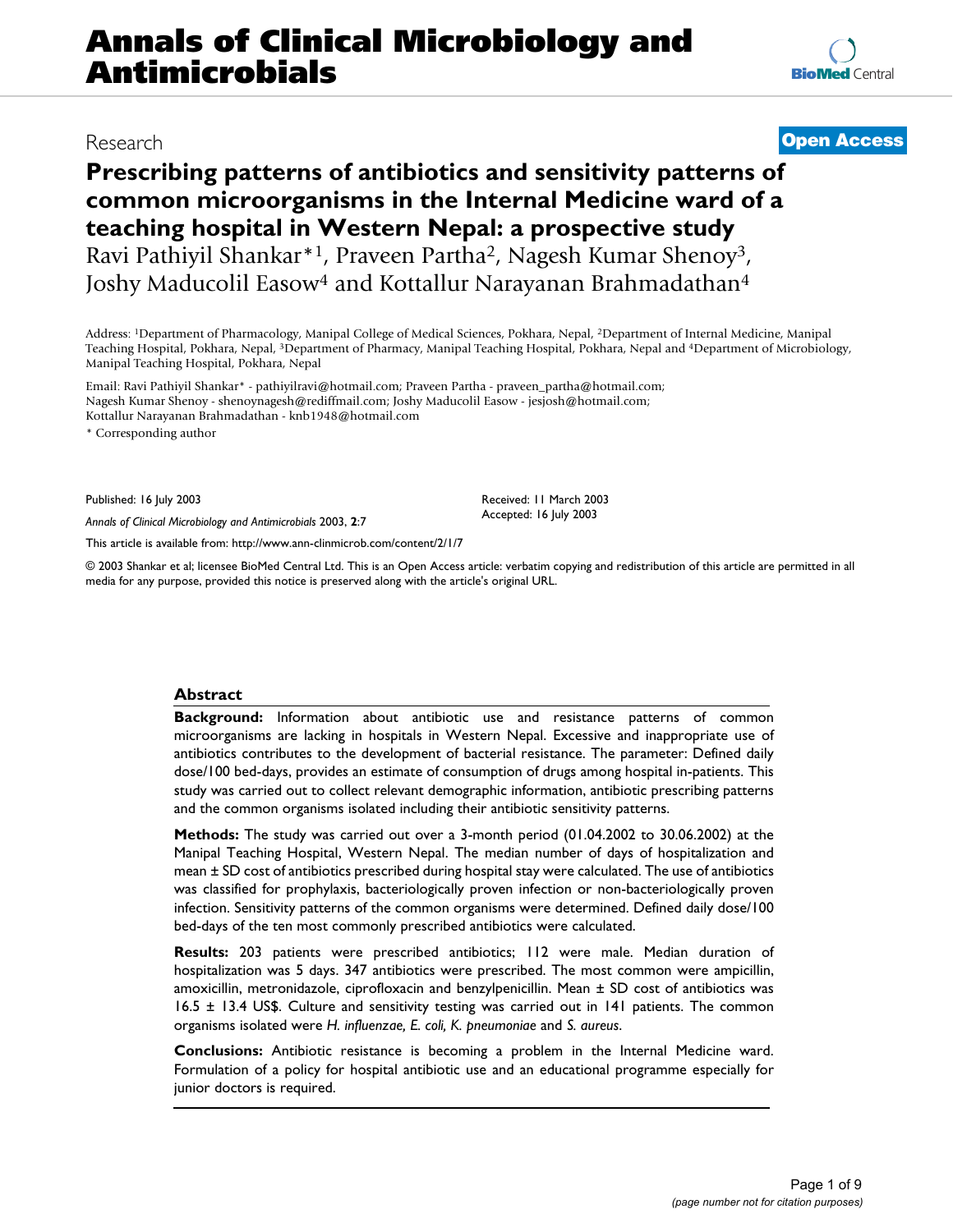# **Annals of Clinical Microbiology and Antimicrobials**

# **Prescribing patterns of antibiotics and sensitivity patterns of common microorganisms in the Internal Medicine ward of a teaching hospital in Western Nepal: a prospective study** Ravi Pathiyil Shankar\*1, Praveen Partha2, Nagesh Kumar Shenoy3, Joshy Maducolil Easow4 and Kottallur Narayanan Brahmadathan4

Address: 1Department of Pharmacology, Manipal College of Medical Sciences, Pokhara, Nepal, 2Department of Internal Medicine, Manipal Teaching Hospital, Pokhara, Nepal, 3Department of Pharmacy, Manipal Teaching Hospital, Pokhara, Nepal and 4Department of Microbiology, Manipal Teaching Hospital, Pokhara, Nepal

Email: Ravi Pathiyil Shankar\* - pathiyilravi@hotmail.com; Praveen Partha - praveen\_partha@hotmail.com; Nagesh Kumar Shenoy - shenoynagesh@rediffmail.com; Joshy Maducolil Easow - jesjosh@hotmail.com; Kottallur Narayanan Brahmadathan - knb1948@hotmail.com

\* Corresponding author

Published: 16 July 2003

*Annals of Clinical Microbiology and Antimicrobials* 2003, **2**:7

[This article is available from: http://www.ann-clinmicrob.com/content/2/1/7](http://www.ann-clinmicrob.com/content/2/1/7)

© 2003 Shankar et al; licensee BioMed Central Ltd. This is an Open Access article: verbatim copying and redistribution of this article are permitted in all media for any purpose, provided this notice is preserved along with the article's original URL.

### **Abstract**

**Background:** Information about antibiotic use and resistance patterns of common microorganisms are lacking in hospitals in Western Nepal. Excessive and inappropriate use of antibiotics contributes to the development of bacterial resistance. The parameter: Defined daily dose/100 bed-days, provides an estimate of consumption of drugs among hospital in-patients. This study was carried out to collect relevant demographic information, antibiotic prescribing patterns and the common organisms isolated including their antibiotic sensitivity patterns.

**Methods:** The study was carried out over a 3-month period (01.04.2002 to 30.06.2002) at the Manipal Teaching Hospital, Western Nepal. The median number of days of hospitalization and mean ± SD cost of antibiotics prescribed during hospital stay were calculated. The use of antibiotics was classified for prophylaxis, bacteriologically proven infection or non-bacteriologically proven infection. Sensitivity patterns of the common organisms were determined. Defined daily dose/100 bed-days of the ten most commonly prescribed antibiotics were calculated.

**Results:** 203 patients were prescribed antibiotics; 112 were male. Median duration of hospitalization was 5 days. 347 antibiotics were prescribed. The most common were ampicillin, amoxicillin, metronidazole, ciprofloxacin and benzylpenicillin. Mean ± SD cost of antibiotics was 16.5 ± 13.4 US\$. Culture and sensitivity testing was carried out in 141 patients. The common organisms isolated were *H. influenzae, E. coli, K. pneumoniae* and *S. aureus*.

**Conclusions:** Antibiotic resistance is becoming a problem in the Internal Medicine ward. Formulation of a policy for hospital antibiotic use and an educational programme especially for junior doctors is required.

# Research **[Open Access](http://www.biomedcentral.com/info/about/charter/)**

Received: 11 March 2003 Accepted: 16 July 2003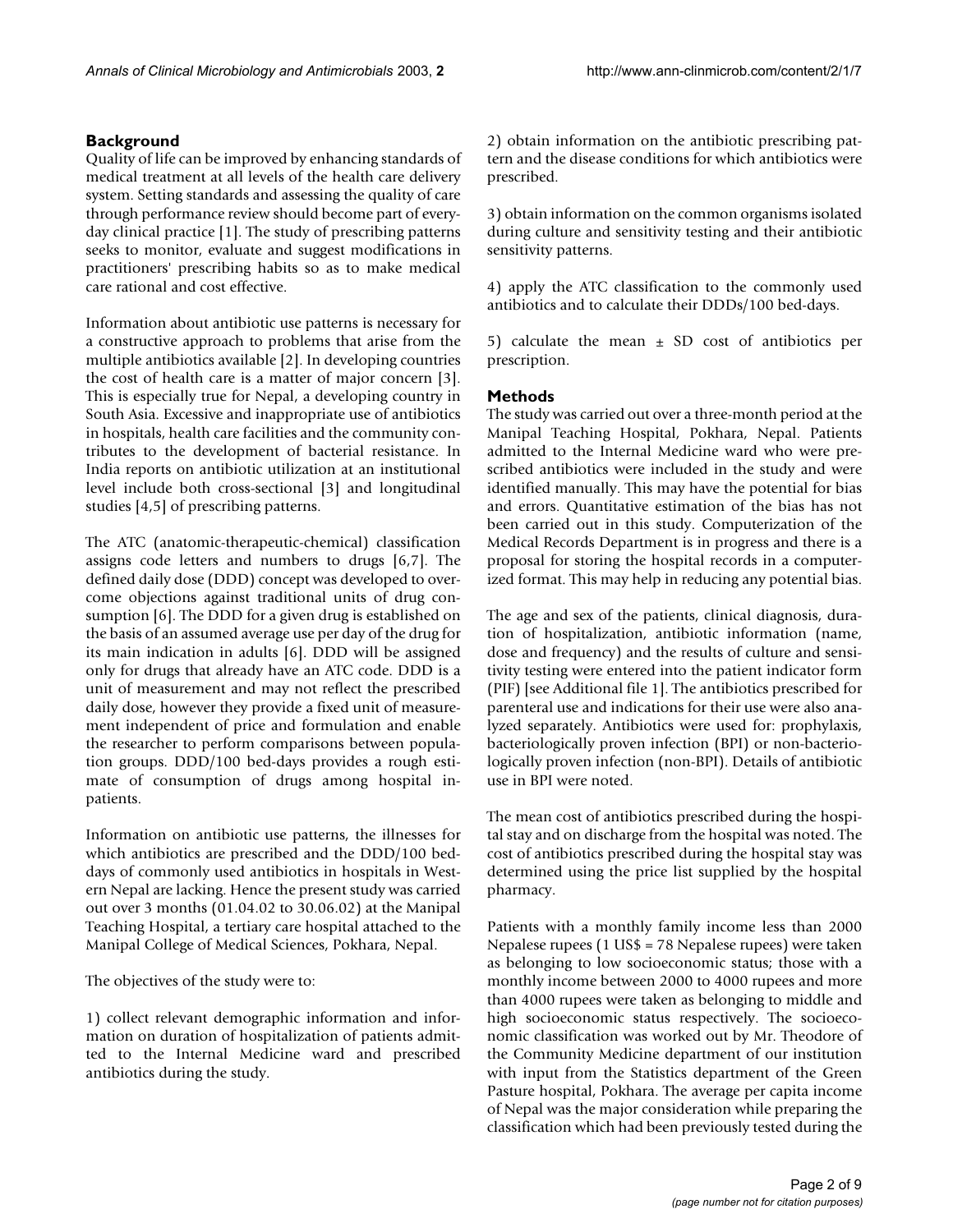# **Background**

Quality of life can be improved by enhancing standards of medical treatment at all levels of the health care delivery system. Setting standards and assessing the quality of care through performance review should become part of everyday clinical practice [1]. The study of prescribing patterns seeks to monitor, evaluate and suggest modifications in practitioners' prescribing habits so as to make medical care rational and cost effective.

Information about antibiotic use patterns is necessary for a constructive approach to problems that arise from the multiple antibiotics available [2]. In developing countries the cost of health care is a matter of major concern [3]. This is especially true for Nepal, a developing country in South Asia. Excessive and inappropriate use of antibiotics in hospitals, health care facilities and the community contributes to the development of bacterial resistance. In India reports on antibiotic utilization at an institutional level include both cross-sectional [3] and longitudinal studies [4,5] of prescribing patterns.

The ATC (anatomic-therapeutic-chemical) classification assigns code letters and numbers to drugs [6,7]. The defined daily dose (DDD) concept was developed to overcome objections against traditional units of drug consumption [6]. The DDD for a given drug is established on the basis of an assumed average use per day of the drug for its main indication in adults [6]. DDD will be assigned only for drugs that already have an ATC code. DDD is a unit of measurement and may not reflect the prescribed daily dose, however they provide a fixed unit of measurement independent of price and formulation and enable the researcher to perform comparisons between population groups. DDD/100 bed-days provides a rough estimate of consumption of drugs among hospital inpatients.

Information on antibiotic use patterns, the illnesses for which antibiotics are prescribed and the DDD/100 beddays of commonly used antibiotics in hospitals in Western Nepal are lacking. Hence the present study was carried out over 3 months (01.04.02 to 30.06.02) at the Manipal Teaching Hospital, a tertiary care hospital attached to the Manipal College of Medical Sciences, Pokhara, Nepal.

The objectives of the study were to:

1) collect relevant demographic information and information on duration of hospitalization of patients admitted to the Internal Medicine ward and prescribed antibiotics during the study.

2) obtain information on the antibiotic prescribing pattern and the disease conditions for which antibiotics were prescribed.

3) obtain information on the common organisms isolated during culture and sensitivity testing and their antibiotic sensitivity patterns.

4) apply the ATC classification to the commonly used antibiotics and to calculate their DDDs/100 bed-days.

5) calculate the mean  $\pm$  SD cost of antibiotics per prescription.

# **Methods**

The study was carried out over a three-month period at the Manipal Teaching Hospital, Pokhara, Nepal. Patients admitted to the Internal Medicine ward who were prescribed antibiotics were included in the study and were identified manually. This may have the potential for bias and errors. Quantitative estimation of the bias has not been carried out in this study. Computerization of the Medical Records Department is in progress and there is a proposal for storing the hospital records in a computerized format. This may help in reducing any potential bias.

The age and sex of the patients, clinical diagnosis, duration of hospitalization, antibiotic information (name, dose and frequency) and the results of culture and sensitivity testing were entered into the patient indicator form (PIF) [see Additional file 1]. The antibiotics prescribed for parenteral use and indications for their use were also analyzed separately. Antibiotics were used for: prophylaxis, bacteriologically proven infection (BPI) or non-bacteriologically proven infection (non-BPI). Details of antibiotic use in BPI were noted.

The mean cost of antibiotics prescribed during the hospital stay and on discharge from the hospital was noted. The cost of antibiotics prescribed during the hospital stay was determined using the price list supplied by the hospital pharmacy.

Patients with a monthly family income less than 2000 Nepalese rupees (1 US\$ = 78 Nepalese rupees) were taken as belonging to low socioeconomic status; those with a monthly income between 2000 to 4000 rupees and more than 4000 rupees were taken as belonging to middle and high socioeconomic status respectively. The socioeconomic classification was worked out by Mr. Theodore of the Community Medicine department of our institution with input from the Statistics department of the Green Pasture hospital, Pokhara. The average per capita income of Nepal was the major consideration while preparing the classification which had been previously tested during the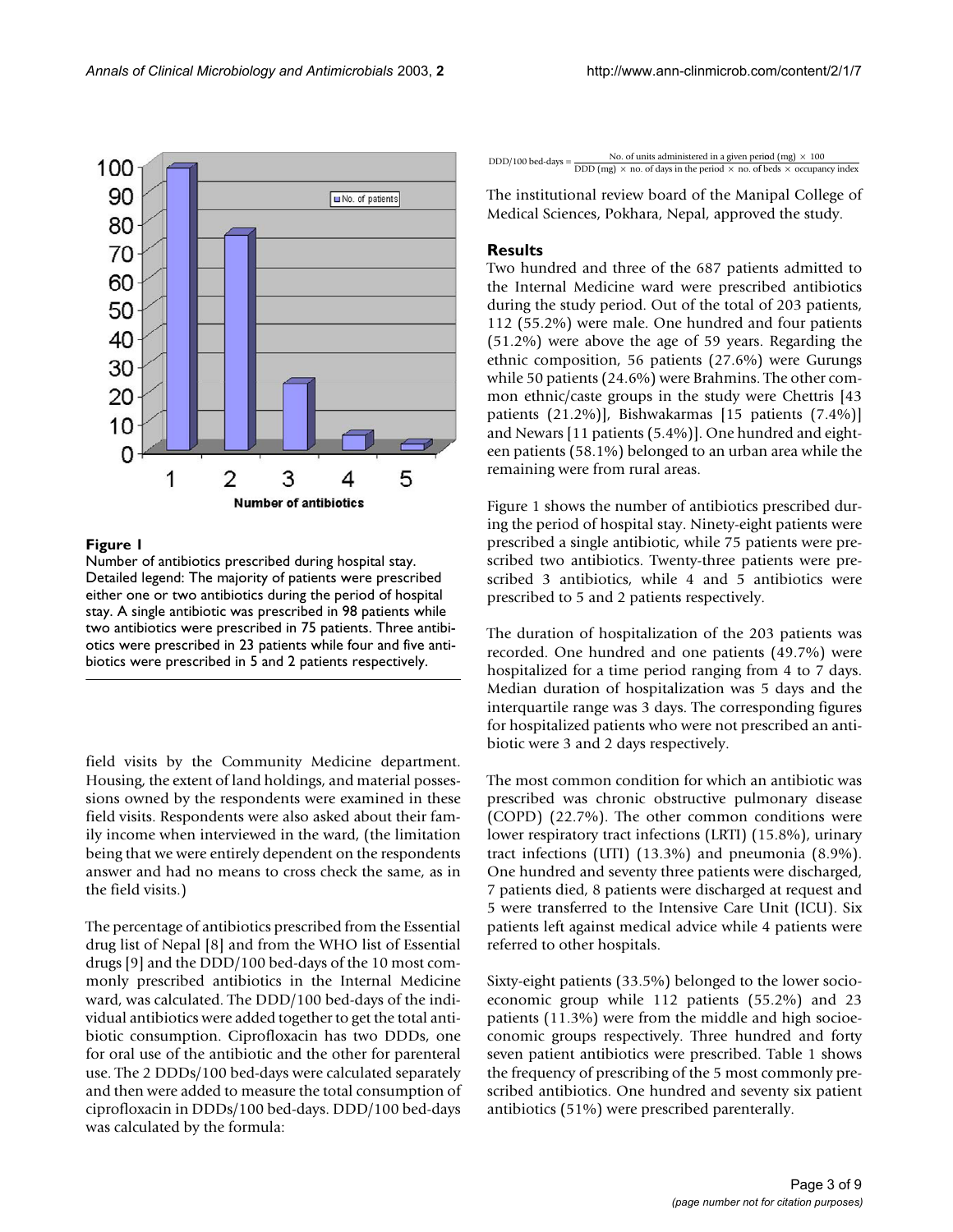

## Figure 1

Number of antibiotics prescribed during hospital stay. Detailed legend: The majority of patients were prescribed either one or two antibiotics during the period of hospital stay. A single antibiotic was prescribed in 98 patients while two antibiotics were prescribed in 75 patients. Three antibiotics were prescribed in 23 patients while four and five antibiotics were prescribed in 5 and 2 patients respectively.

field visits by the Community Medicine department. Housing, the extent of land holdings, and material possessions owned by the respondents were examined in these field visits. Respondents were also asked about their family income when interviewed in the ward, (the limitation being that we were entirely dependent on the respondents answer and had no means to cross check the same, as in the field visits.)

The percentage of antibiotics prescribed from the Essential drug list of Nepal [8] and from the WHO list of Essential drugs [9] and the DDD/100 bed-days of the 10 most commonly prescribed antibiotics in the Internal Medicine ward, was calculated. The DDD/100 bed-days of the individual antibiotics were added together to get the total antibiotic consumption. Ciprofloxacin has two DDDs, one for oral use of the antibiotic and the other for parenteral use. The 2 DDDs/100 bed-days were calculated separately and then were added to measure the total consumption of ciprofloxacin in DDDs/100 bed-days. DDD/100 bed-days was calculated by the formula:

| $DDD/100$ bed-days = | No. of units administered in a given period (mg) $\times$ 100                             |  |  |  |  |  |
|----------------------|-------------------------------------------------------------------------------------------|--|--|--|--|--|
|                      | DDD (mg) $\times$ no. of days in the period $\times$ no. of beds $\times$ occupancy index |  |  |  |  |  |

The institutional review board of the Manipal College of Medical Sciences, Pokhara, Nepal, approved the study.

# **Results**

Two hundred and three of the 687 patients admitted to the Internal Medicine ward were prescribed antibiotics during the study period. Out of the total of 203 patients, 112 (55.2%) were male. One hundred and four patients (51.2%) were above the age of 59 years. Regarding the ethnic composition, 56 patients (27.6%) were Gurungs while 50 patients (24.6%) were Brahmins. The other common ethnic/caste groups in the study were Chettris [43 patients (21.2%)], Bishwakarmas [15 patients (7.4%)] and Newars [11 patients (5.4%)]. One hundred and eighteen patients (58.1%) belonged to an urban area while the remaining were from rural areas.

Figure 1 shows the number of antibiotics prescribed during the period of hospital stay. Ninety-eight patients were prescribed a single antibiotic, while 75 patients were prescribed two antibiotics. Twenty-three patients were prescribed 3 antibiotics, while 4 and 5 antibiotics were prescribed to 5 and 2 patients respectively.

The duration of hospitalization of the 203 patients was recorded. One hundred and one patients (49.7%) were hospitalized for a time period ranging from 4 to 7 days. Median duration of hospitalization was 5 days and the interquartile range was 3 days. The corresponding figures for hospitalized patients who were not prescribed an antibiotic were 3 and 2 days respectively.

The most common condition for which an antibiotic was prescribed was chronic obstructive pulmonary disease (COPD) (22.7%). The other common conditions were lower respiratory tract infections (LRTI) (15.8%), urinary tract infections (UTI) (13.3%) and pneumonia (8.9%). One hundred and seventy three patients were discharged, 7 patients died, 8 patients were discharged at request and 5 were transferred to the Intensive Care Unit (ICU). Six patients left against medical advice while 4 patients were referred to other hospitals.

Sixty-eight patients (33.5%) belonged to the lower socioeconomic group while 112 patients (55.2%) and 23 patients (11.3%) were from the middle and high socioeconomic groups respectively. Three hundred and forty seven patient antibiotics were prescribed. Table [1](#page-3-0) shows the frequency of prescribing of the 5 most commonly prescribed antibiotics. One hundred and seventy six patient antibiotics (51%) were prescribed parenterally.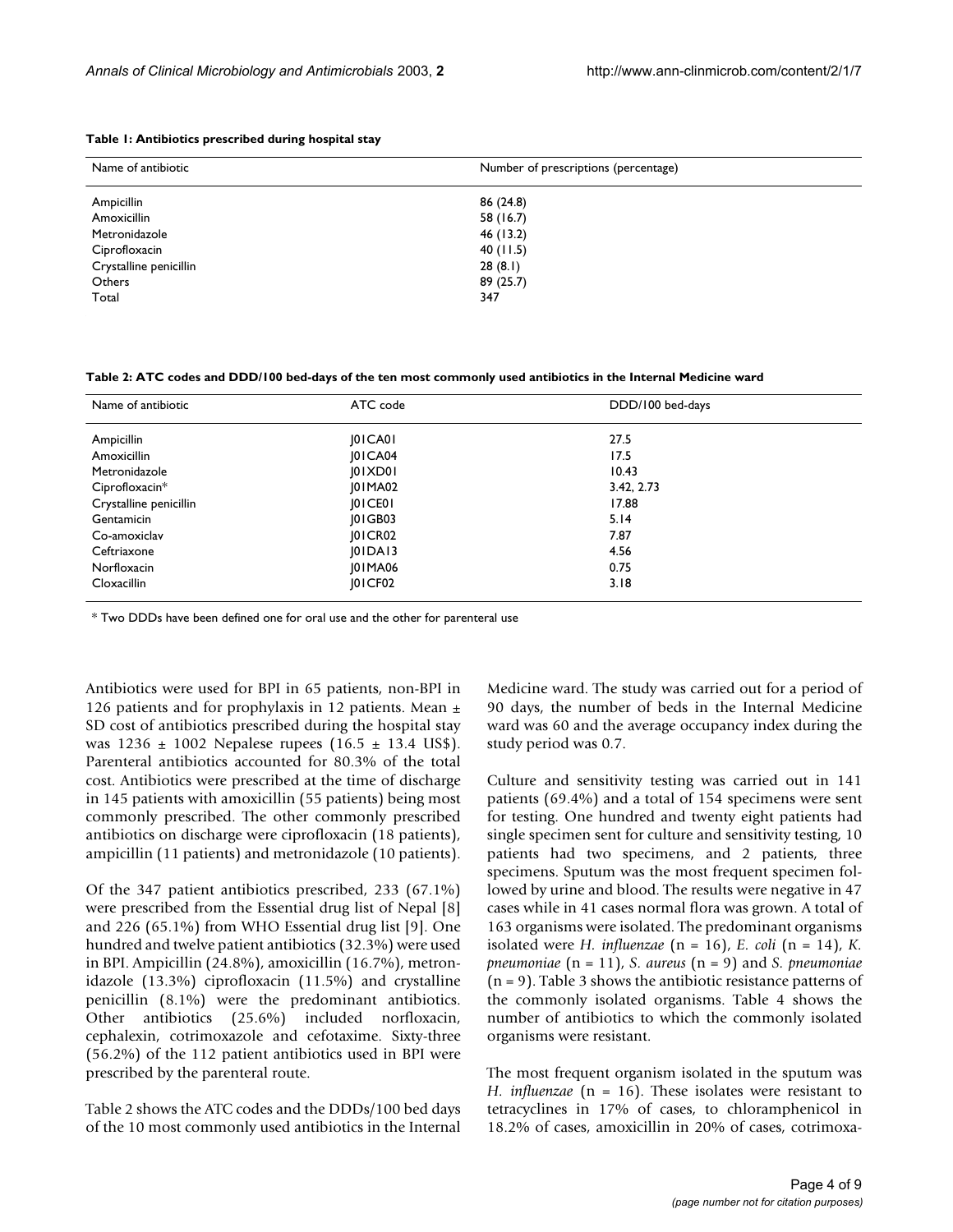<span id="page-3-0"></span>

| Table 1: Antibiotics prescribed during hospital stay |  |  |  |
|------------------------------------------------------|--|--|--|
|------------------------------------------------------|--|--|--|

| Name of antibiotic     | Number of prescriptions (percentage) |  |  |
|------------------------|--------------------------------------|--|--|
| Ampicillin             | 86 (24.8)                            |  |  |
| Amoxicillin            | 58 (16.7)                            |  |  |
| Metronidazole          | 46 (13.2)                            |  |  |
| Ciprofloxacin          | 40 $(11.5)$                          |  |  |
| Crystalline penicillin | 28(8.1)                              |  |  |
| Others                 | 89 (25.7)                            |  |  |
| Total                  | 347                                  |  |  |

<span id="page-3-1"></span>**Table 2: ATC codes and DDD/100 bed-days of the ten most commonly used antibiotics in the Internal Medicine ward**

| Name of antibiotic     | ATC code       | DDD/100 bed-days |  |
|------------------------|----------------|------------------|--|
| Ampicillin             | <b>JOICA01</b> | 27.5             |  |
| Amoxicillin            | <b>JOICA04</b> | 17.5             |  |
| Metronidazole          | $ 0 X$ D0 $ $  | 10.43            |  |
| Ciprofloxacin*         | <b>JOIMA02</b> | 3.42, 2.73       |  |
| Crystalline penicillin | <b>101CE01</b> | 17.88            |  |
| Gentamicin             | <b>JOIGB03</b> | 5.14             |  |
| Co-amoxiclav           | <b>JOICR02</b> | 7.87             |  |
| Ceftriaxone            | 0 DA 3         | 4.56             |  |
| Norfloxacin            | 101MA06        | 0.75             |  |
| Cloxacillin            | <b>101CF02</b> | 3.18             |  |

\* Two DDDs have been defined one for oral use and the other for parenteral use

Antibiotics were used for BPI in 65 patients, non-BPI in 126 patients and for prophylaxis in 12 patients. Mean  $\pm$ SD cost of antibiotics prescribed during the hospital stay was 1236 ± 1002 Nepalese rupees (16.5 ± 13.4 US\$). Parenteral antibiotics accounted for 80.3% of the total cost. Antibiotics were prescribed at the time of discharge in 145 patients with amoxicillin (55 patients) being most commonly prescribed. The other commonly prescribed antibiotics on discharge were ciprofloxacin (18 patients), ampicillin (11 patients) and metronidazole (10 patients).

Of the 347 patient antibiotics prescribed, 233 (67.1%) were prescribed from the Essential drug list of Nepal [8] and 226 (65.1%) from WHO Essential drug list [9]. One hundred and twelve patient antibiotics (32.3%) were used in BPI. Ampicillin (24.8%), amoxicillin (16.7%), metronidazole (13.3%) ciprofloxacin (11.5%) and crystalline penicillin (8.1%) were the predominant antibiotics. Other antibiotics (25.6%) included norfloxacin, cephalexin, cotrimoxazole and cefotaxime. Sixty-three (56.2%) of the 112 patient antibiotics used in BPI were prescribed by the parenteral route.

Table [2](#page-3-1) shows the ATC codes and the DDDs/100 bed days of the 10 most commonly used antibiotics in the Internal

Medicine ward. The study was carried out for a period of 90 days, the number of beds in the Internal Medicine ward was 60 and the average occupancy index during the study period was 0.7.

Culture and sensitivity testing was carried out in 141 patients (69.4%) and a total of 154 specimens were sent for testing. One hundred and twenty eight patients had single specimen sent for culture and sensitivity testing, 10 patients had two specimens, and 2 patients, three specimens. Sputum was the most frequent specimen followed by urine and blood. The results were negative in 47 cases while in 41 cases normal flora was grown. A total of 163 organisms were isolated. The predominant organisms isolated were *H. influenzae* (n = 16), *E. coli* (n = 14), *K. pneumoniae* (n = 11), *S. aureus* (n = 9) and *S. pneumoniae* (n = 9). Table [3](#page-4-0) shows the antibiotic resistance patterns of the commonly isolated organisms. Table [4](#page-4-1) shows the number of antibiotics to which the commonly isolated organisms were resistant.

The most frequent organism isolated in the sputum was *H. influenzae* (n = 16). These isolates were resistant to tetracyclines in 17% of cases, to chloramphenicol in 18.2% of cases, amoxicillin in 20% of cases, cotrimoxa-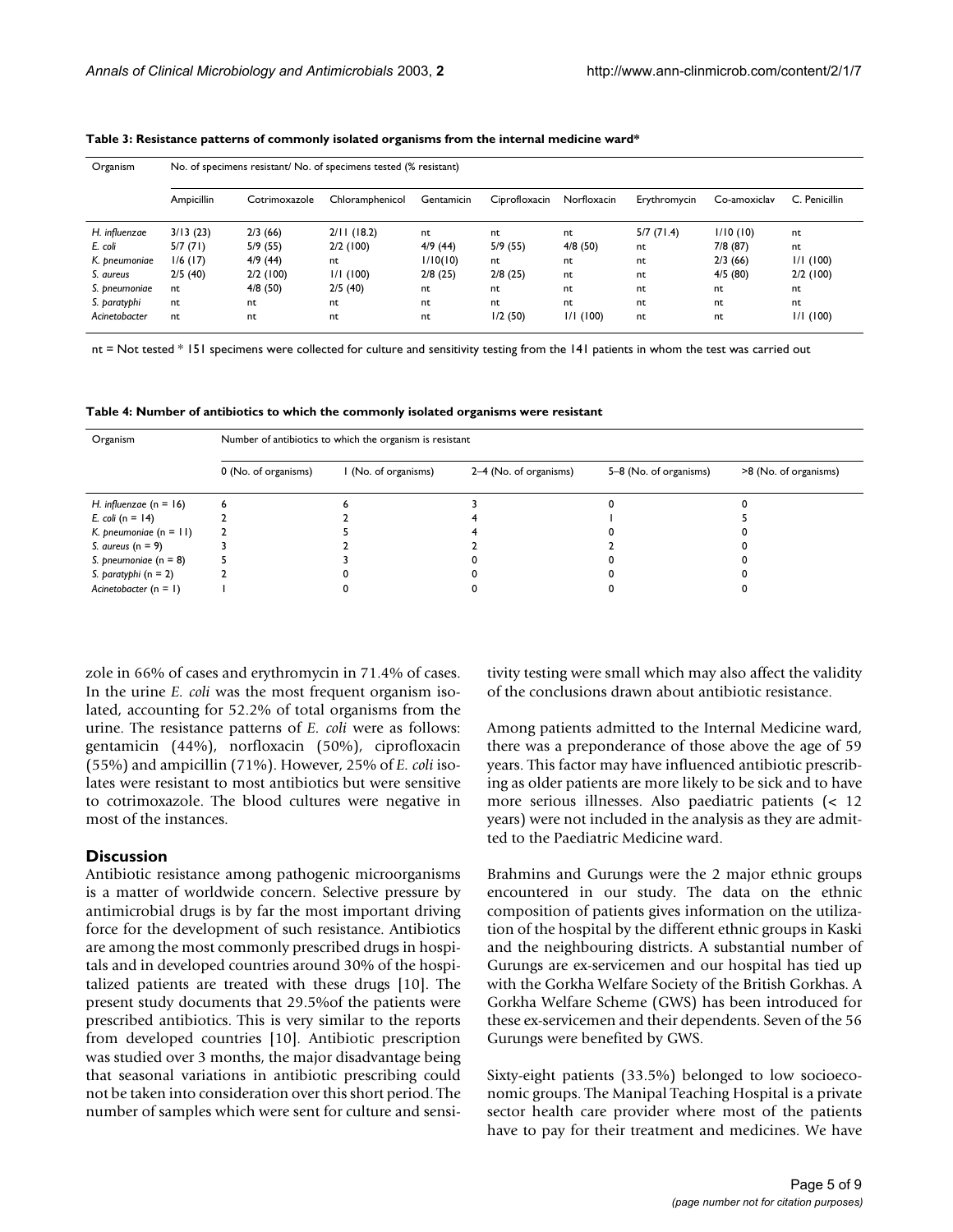| Organism      | No. of specimens resistant/ No. of specimens tested (% resistant) |               |                 |            |               |             |              |              |               |
|---------------|-------------------------------------------------------------------|---------------|-----------------|------------|---------------|-------------|--------------|--------------|---------------|
|               | Ampicillin                                                        | Cotrimoxazole | Chloramphenicol | Gentamicin | Ciprofloxacin | Norfloxacin | Erythromycin | Co-amoxiclav | C. Penicillin |
| H. influenzae | 3/13(23)                                                          | 2/3(66)       | 2/11(18.2)      | nt         | nt            | nt          | 5/7(71.4)    | 1/10(10)     | nt            |
| E. coli       | 5/7(71)                                                           | 5/9(55)       | 2/2(100)        | 4/9(44)    | 5/9(55)       | 4/8(50)     | nt           | 7/8(87)      | nt            |
| K. pneumoniae | $1/6$ (17)                                                        | 4/9(44)       | nt              | 1/10(10)   | nt            | nt          | nt           | 2/3(66)      | 1/1(100)      |
| S. aureus     | 2/5(40)                                                           | $2/2$ (100)   | 1/1(100)        | 2/8(25)    | 2/8(25)       | nt          | nt           | 4/5(80)      | 2/2(100)      |
| S. pneumoniae | nt                                                                | 4/8(50)       | 2/5(40)         | nt         | nt            | nt          | nt           | nt           | nt            |
| S. paratyphi  | nt                                                                | nt            | nt              | nt         | nt            | nt          | nt           | nt           | nt            |
| Acinetobacter | nt                                                                | nt            | nt              | nt         | 1/2(50)       | 1/1(100)    | nt           | nt           | 1/1(100)      |

<span id="page-4-0"></span>**Table 3: Resistance patterns of commonly isolated organisms from the internal medicine ward\***

nt = Not tested \* 151 specimens were collected for culture and sensitivity testing from the 141 patients in whom the test was carried out

<span id="page-4-1"></span>**Table 4: Number of antibiotics to which the commonly isolated organisms were resistant**

| Organism                 | Number of antibiotics to which the organism is resistant |                      |                        |                        |                       |  |  |  |
|--------------------------|----------------------------------------------------------|----------------------|------------------------|------------------------|-----------------------|--|--|--|
|                          | 0 (No. of organisms)                                     | I (No. of organisms) | 2-4 (No. of organisms) | 5-8 (No. of organisms) | >8 (No. of organisms) |  |  |  |
| H. influenzae $(n = 16)$ | ь                                                        |                      |                        |                        |                       |  |  |  |
| E. coli ( $n = 14$ )     |                                                          |                      |                        |                        |                       |  |  |  |
| K. pneumoniae $(n = 11)$ |                                                          |                      |                        |                        |                       |  |  |  |
| S. aureus ( $n = 9$ )    |                                                          |                      |                        |                        |                       |  |  |  |
| S. pneumoniae $(n = 8)$  |                                                          |                      |                        |                        |                       |  |  |  |
| S. paratyphi $(n = 2)$   |                                                          |                      |                        |                        |                       |  |  |  |
| Acinetobacter $(n = 1)$  |                                                          |                      |                        |                        |                       |  |  |  |
|                          |                                                          |                      |                        |                        |                       |  |  |  |

zole in 66% of cases and erythromycin in 71.4% of cases. In the urine *E. coli* was the most frequent organism isolated, accounting for 52.2% of total organisms from the urine. The resistance patterns of *E. coli* were as follows: gentamicin (44%), norfloxacin (50%), ciprofloxacin (55%) and ampicillin (71%). However, 25% of *E. coli* isolates were resistant to most antibiotics but were sensitive to cotrimoxazole. The blood cultures were negative in most of the instances.

#### **Discussion**

Antibiotic resistance among pathogenic microorganisms is a matter of worldwide concern. Selective pressure by antimicrobial drugs is by far the most important driving force for the development of such resistance. Antibiotics are among the most commonly prescribed drugs in hospitals and in developed countries around 30% of the hospitalized patients are treated with these drugs [10]. The present study documents that 29.5%of the patients were prescribed antibiotics. This is very similar to the reports from developed countries [10]. Antibiotic prescription was studied over 3 months, the major disadvantage being that seasonal variations in antibiotic prescribing could not be taken into consideration over this short period. The number of samples which were sent for culture and sensitivity testing were small which may also affect the validity of the conclusions drawn about antibiotic resistance.

Among patients admitted to the Internal Medicine ward, there was a preponderance of those above the age of 59 years. This factor may have influenced antibiotic prescribing as older patients are more likely to be sick and to have more serious illnesses. Also paediatric patients (< 12 years) were not included in the analysis as they are admitted to the Paediatric Medicine ward.

Brahmins and Gurungs were the 2 major ethnic groups encountered in our study. The data on the ethnic composition of patients gives information on the utilization of the hospital by the different ethnic groups in Kaski and the neighbouring districts. A substantial number of Gurungs are ex-servicemen and our hospital has tied up with the Gorkha Welfare Society of the British Gorkhas. A Gorkha Welfare Scheme (GWS) has been introduced for these ex-servicemen and their dependents. Seven of the 56 Gurungs were benefited by GWS.

Sixty-eight patients (33.5%) belonged to low socioeconomic groups. The Manipal Teaching Hospital is a private sector health care provider where most of the patients have to pay for their treatment and medicines. We have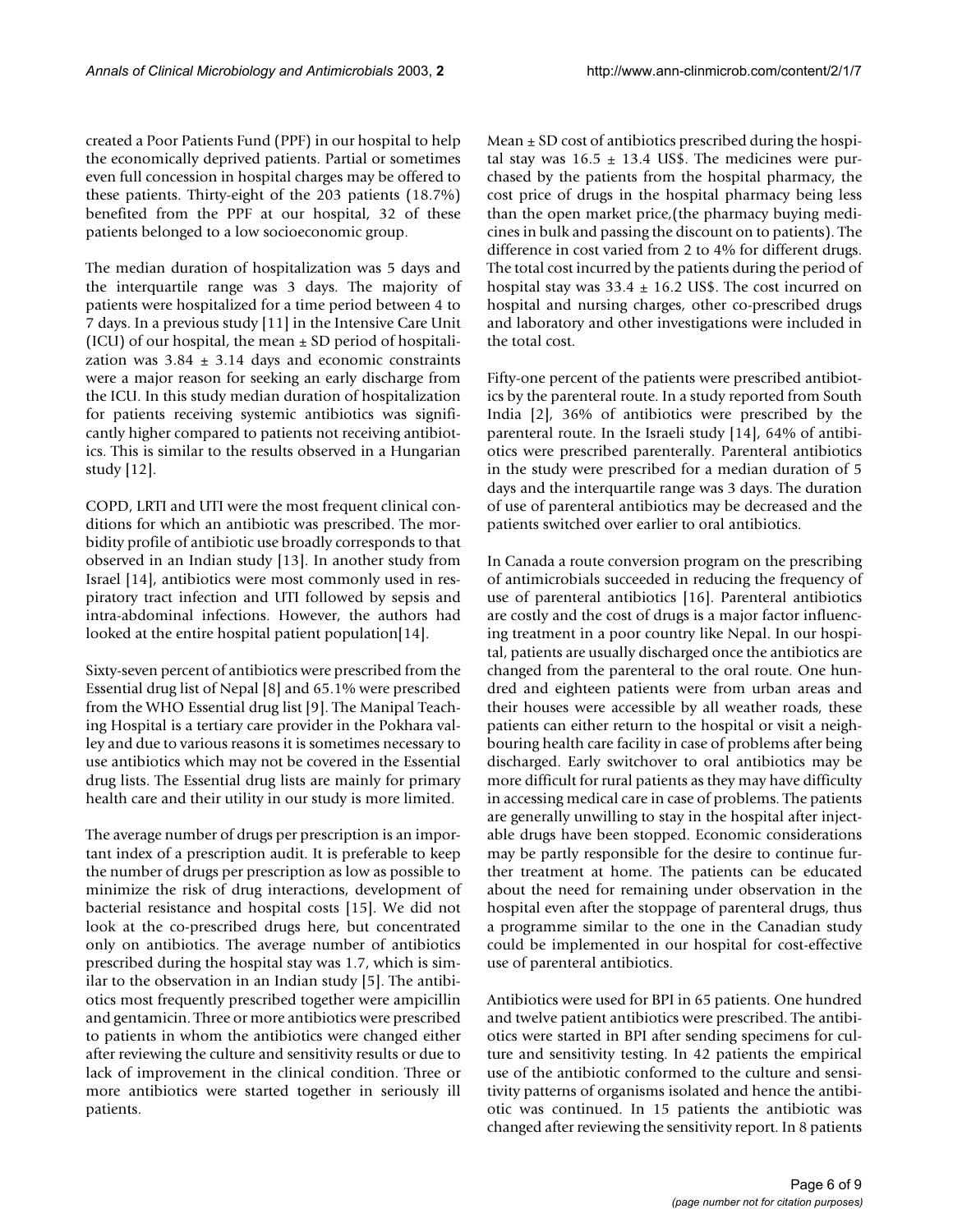created a Poor Patients Fund (PPF) in our hospital to help the economically deprived patients. Partial or sometimes even full concession in hospital charges may be offered to these patients. Thirty-eight of the 203 patients (18.7%) benefited from the PPF at our hospital, 32 of these patients belonged to a low socioeconomic group.

The median duration of hospitalization was 5 days and the interquartile range was 3 days. The majority of patients were hospitalized for a time period between 4 to 7 days. In a previous study [11] in the Intensive Care Unit (ICU) of our hospital, the mean  $\pm$  SD period of hospitalization was  $3.84 \pm 3.14$  days and economic constraints were a major reason for seeking an early discharge from the ICU. In this study median duration of hospitalization for patients receiving systemic antibiotics was significantly higher compared to patients not receiving antibiotics. This is similar to the results observed in a Hungarian study [12].

COPD, LRTI and UTI were the most frequent clinical conditions for which an antibiotic was prescribed. The morbidity profile of antibiotic use broadly corresponds to that observed in an Indian study [13]. In another study from Israel [14], antibiotics were most commonly used in respiratory tract infection and UTI followed by sepsis and intra-abdominal infections. However, the authors had looked at the entire hospital patient population[14].

Sixty-seven percent of antibiotics were prescribed from the Essential drug list of Nepal [8] and 65.1% were prescribed from the WHO Essential drug list [9]. The Manipal Teaching Hospital is a tertiary care provider in the Pokhara valley and due to various reasons it is sometimes necessary to use antibiotics which may not be covered in the Essential drug lists. The Essential drug lists are mainly for primary health care and their utility in our study is more limited.

The average number of drugs per prescription is an important index of a prescription audit. It is preferable to keep the number of drugs per prescription as low as possible to minimize the risk of drug interactions, development of bacterial resistance and hospital costs [15]. We did not look at the co-prescribed drugs here, but concentrated only on antibiotics. The average number of antibiotics prescribed during the hospital stay was 1.7, which is similar to the observation in an Indian study [5]. The antibiotics most frequently prescribed together were ampicillin and gentamicin. Three or more antibiotics were prescribed to patients in whom the antibiotics were changed either after reviewing the culture and sensitivity results or due to lack of improvement in the clinical condition. Three or more antibiotics were started together in seriously ill patients.

Mean  $\pm$  SD cost of antibiotics prescribed during the hospital stay was  $16.5 \pm 13.4$  US\$. The medicines were purchased by the patients from the hospital pharmacy, the cost price of drugs in the hospital pharmacy being less than the open market price,(the pharmacy buying medicines in bulk and passing the discount on to patients). The difference in cost varied from 2 to 4% for different drugs. The total cost incurred by the patients during the period of hospital stay was  $33.4 \pm 16.2$  US\$. The cost incurred on hospital and nursing charges, other co-prescribed drugs and laboratory and other investigations were included in the total cost.

Fifty-one percent of the patients were prescribed antibiotics by the parenteral route. In a study reported from South India [2], 36% of antibiotics were prescribed by the parenteral route. In the Israeli study [14], 64% of antibiotics were prescribed parenterally. Parenteral antibiotics in the study were prescribed for a median duration of 5 days and the interquartile range was 3 days. The duration of use of parenteral antibiotics may be decreased and the patients switched over earlier to oral antibiotics.

In Canada a route conversion program on the prescribing of antimicrobials succeeded in reducing the frequency of use of parenteral antibiotics [16]. Parenteral antibiotics are costly and the cost of drugs is a major factor influencing treatment in a poor country like Nepal. In our hospital, patients are usually discharged once the antibiotics are changed from the parenteral to the oral route. One hundred and eighteen patients were from urban areas and their houses were accessible by all weather roads, these patients can either return to the hospital or visit a neighbouring health care facility in case of problems after being discharged. Early switchover to oral antibiotics may be more difficult for rural patients as they may have difficulty in accessing medical care in case of problems. The patients are generally unwilling to stay in the hospital after injectable drugs have been stopped. Economic considerations may be partly responsible for the desire to continue further treatment at home. The patients can be educated about the need for remaining under observation in the hospital even after the stoppage of parenteral drugs, thus a programme similar to the one in the Canadian study could be implemented in our hospital for cost-effective use of parenteral antibiotics.

Antibiotics were used for BPI in 65 patients. One hundred and twelve patient antibiotics were prescribed. The antibiotics were started in BPI after sending specimens for culture and sensitivity testing. In 42 patients the empirical use of the antibiotic conformed to the culture and sensitivity patterns of organisms isolated and hence the antibiotic was continued. In 15 patients the antibiotic was changed after reviewing the sensitivity report. In 8 patients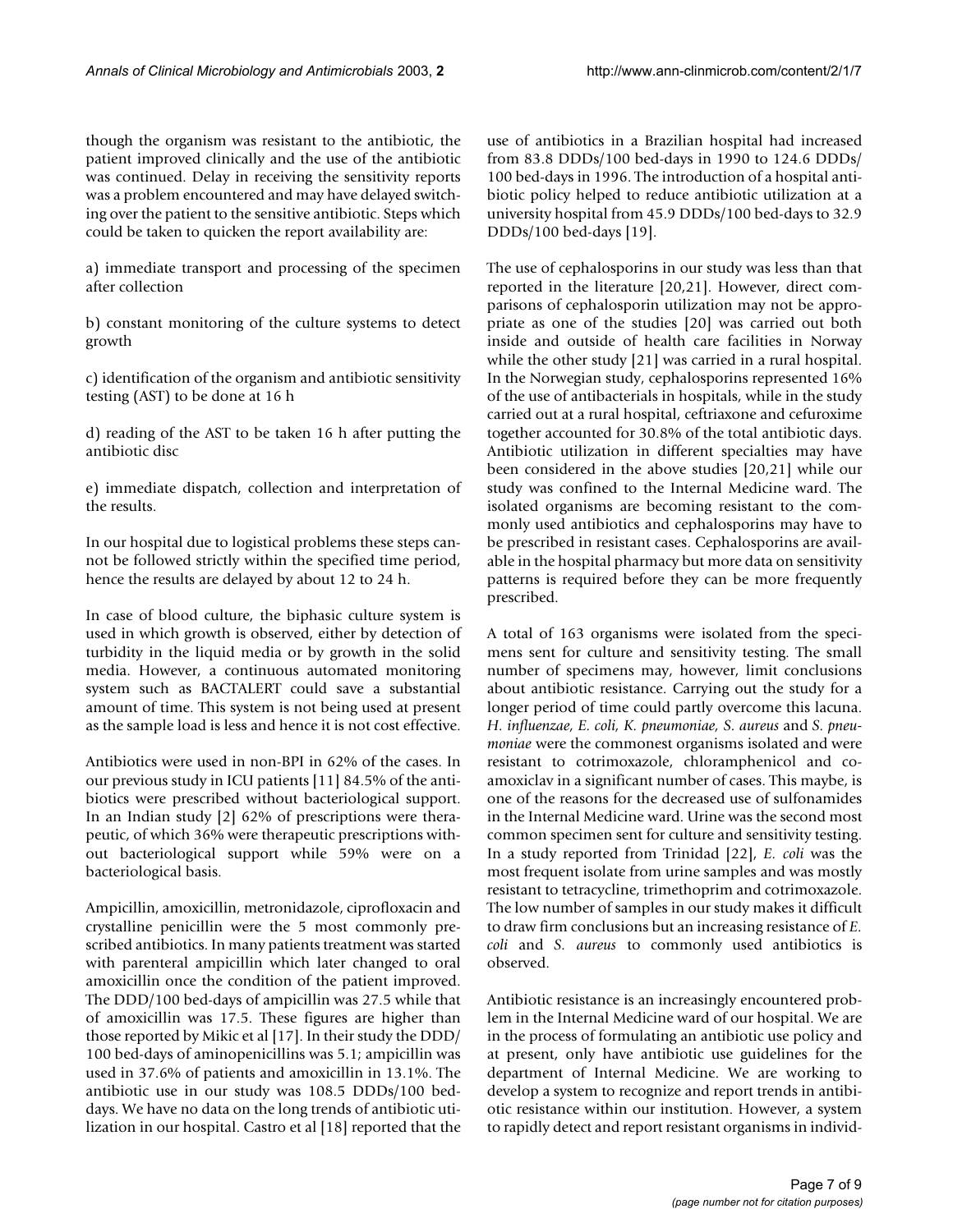though the organism was resistant to the antibiotic, the patient improved clinically and the use of the antibiotic was continued. Delay in receiving the sensitivity reports was a problem encountered and may have delayed switching over the patient to the sensitive antibiotic. Steps which could be taken to quicken the report availability are:

a) immediate transport and processing of the specimen after collection

b) constant monitoring of the culture systems to detect growth

c) identification of the organism and antibiotic sensitivity testing (AST) to be done at 16 h

d) reading of the AST to be taken 16 h after putting the antibiotic disc

e) immediate dispatch, collection and interpretation of the results.

In our hospital due to logistical problems these steps cannot be followed strictly within the specified time period, hence the results are delayed by about 12 to 24 h.

In case of blood culture, the biphasic culture system is used in which growth is observed, either by detection of turbidity in the liquid media or by growth in the solid media. However, a continuous automated monitoring system such as BACTALERT could save a substantial amount of time. This system is not being used at present as the sample load is less and hence it is not cost effective.

Antibiotics were used in non-BPI in 62% of the cases. In our previous study in ICU patients [11] 84.5% of the antibiotics were prescribed without bacteriological support. In an Indian study [2] 62% of prescriptions were therapeutic, of which 36% were therapeutic prescriptions without bacteriological support while 59% were on a bacteriological basis.

Ampicillin, amoxicillin, metronidazole, ciprofloxacin and crystalline penicillin were the 5 most commonly prescribed antibiotics. In many patients treatment was started with parenteral ampicillin which later changed to oral amoxicillin once the condition of the patient improved. The DDD/100 bed-days of ampicillin was 27.5 while that of amoxicillin was 17.5. These figures are higher than those reported by Mikic et al [17]. In their study the DDD/ 100 bed-days of aminopenicillins was 5.1; ampicillin was used in 37.6% of patients and amoxicillin in 13.1%. The antibiotic use in our study was 108.5 DDDs/100 beddays. We have no data on the long trends of antibiotic utilization in our hospital. Castro et al [18] reported that the use of antibiotics in a Brazilian hospital had increased from 83.8 DDDs/100 bed-days in 1990 to 124.6 DDDs/ 100 bed-days in 1996. The introduction of a hospital antibiotic policy helped to reduce antibiotic utilization at a university hospital from 45.9 DDDs/100 bed-days to 32.9 DDDs/100 bed-days [19].

The use of cephalosporins in our study was less than that reported in the literature [20,21]. However, direct comparisons of cephalosporin utilization may not be appropriate as one of the studies [20] was carried out both inside and outside of health care facilities in Norway while the other study [21] was carried in a rural hospital. In the Norwegian study, cephalosporins represented 16% of the use of antibacterials in hospitals, while in the study carried out at a rural hospital, ceftriaxone and cefuroxime together accounted for 30.8% of the total antibiotic days. Antibiotic utilization in different specialties may have been considered in the above studies [20,21] while our study was confined to the Internal Medicine ward. The isolated organisms are becoming resistant to the commonly used antibiotics and cephalosporins may have to be prescribed in resistant cases. Cephalosporins are available in the hospital pharmacy but more data on sensitivity patterns is required before they can be more frequently prescribed.

A total of 163 organisms were isolated from the specimens sent for culture and sensitivity testing. The small number of specimens may, however, limit conclusions about antibiotic resistance. Carrying out the study for a longer period of time could partly overcome this lacuna. *H. influenzae, E. coli, K. pneumoniae, S. aureus* and *S. pneumoniae* were the commonest organisms isolated and were resistant to cotrimoxazole, chloramphenicol and coamoxiclav in a significant number of cases. This maybe, is one of the reasons for the decreased use of sulfonamides in the Internal Medicine ward. Urine was the second most common specimen sent for culture and sensitivity testing. In a study reported from Trinidad [22], *E. coli* was the most frequent isolate from urine samples and was mostly resistant to tetracycline, trimethoprim and cotrimoxazole. The low number of samples in our study makes it difficult to draw firm conclusions but an increasing resistance of *E. coli* and *S. aureus* to commonly used antibiotics is observed.

Antibiotic resistance is an increasingly encountered problem in the Internal Medicine ward of our hospital. We are in the process of formulating an antibiotic use policy and at present, only have antibiotic use guidelines for the department of Internal Medicine. We are working to develop a system to recognize and report trends in antibiotic resistance within our institution. However, a system to rapidly detect and report resistant organisms in individ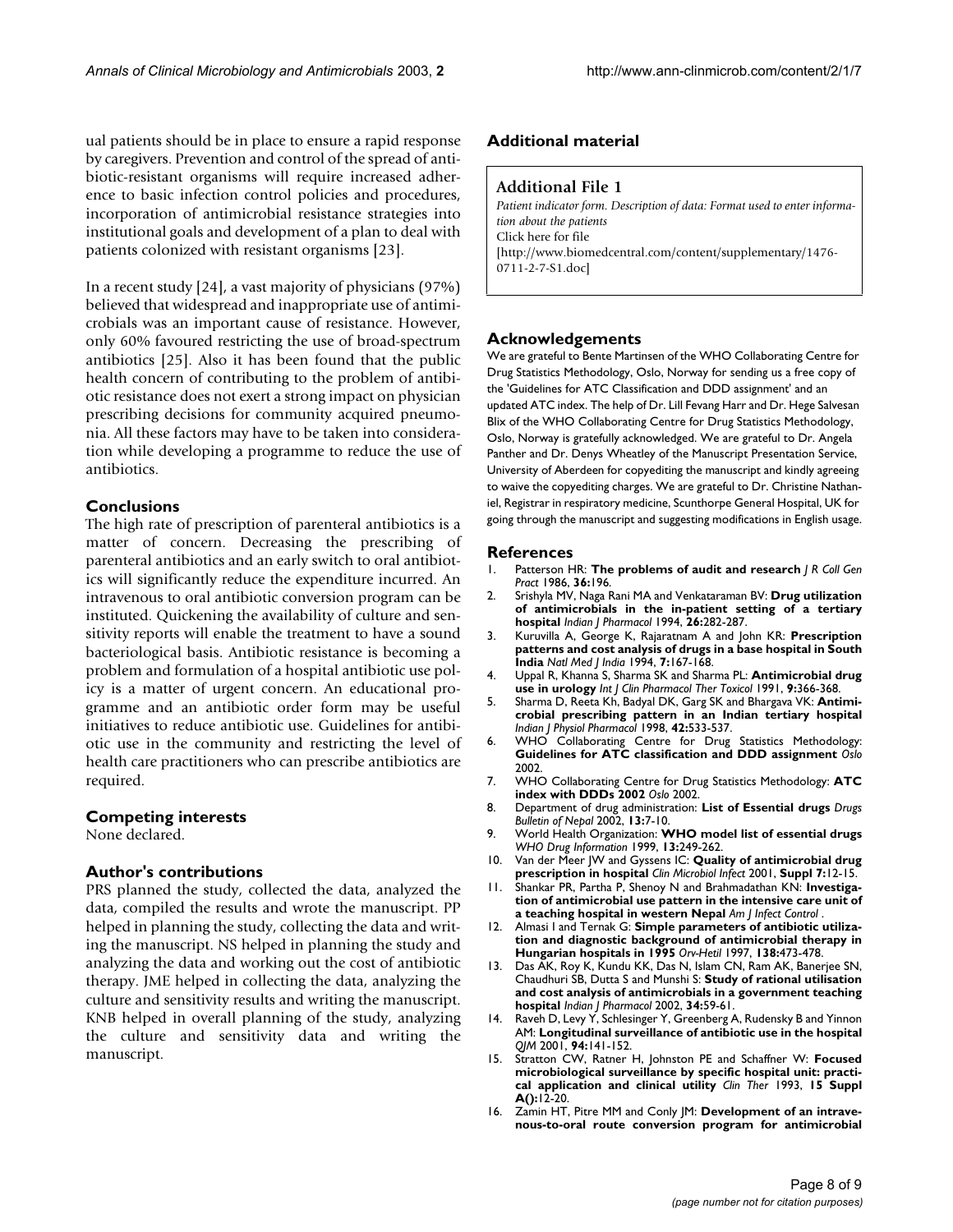ual patients should be in place to ensure a rapid response by caregivers. Prevention and control of the spread of antibiotic-resistant organisms will require increased adherence to basic infection control policies and procedures, incorporation of antimicrobial resistance strategies into institutional goals and development of a plan to deal with patients colonized with resistant organisms [23].

In a recent study [24], a vast majority of physicians (97%) believed that widespread and inappropriate use of antimicrobials was an important cause of resistance. However, only 60% favoured restricting the use of broad-spectrum antibiotics [25]. Also it has been found that the public health concern of contributing to the problem of antibiotic resistance does not exert a strong impact on physician prescribing decisions for community acquired pneumonia. All these factors may have to be taken into consideration while developing a programme to reduce the use of antibiotics.

#### **Conclusions**

The high rate of prescription of parenteral antibiotics is a matter of concern. Decreasing the prescribing of parenteral antibiotics and an early switch to oral antibiotics will significantly reduce the expenditure incurred. An intravenous to oral antibiotic conversion program can be instituted. Quickening the availability of culture and sensitivity reports will enable the treatment to have a sound bacteriological basis. Antibiotic resistance is becoming a problem and formulation of a hospital antibiotic use policy is a matter of urgent concern. An educational programme and an antibiotic order form may be useful initiatives to reduce antibiotic use. Guidelines for antibiotic use in the community and restricting the level of health care practitioners who can prescribe antibiotics are required.

#### **Competing interests**

None declared.

### **Author's contributions**

PRS planned the study, collected the data, analyzed the data, compiled the results and wrote the manuscript. PP helped in planning the study, collecting the data and writing the manuscript. NS helped in planning the study and analyzing the data and working out the cost of antibiotic therapy. JME helped in collecting the data, analyzing the culture and sensitivity results and writing the manuscript. KNB helped in overall planning of the study, analyzing the culture and sensitivity data and writing the manuscript.

#### **Additional material**

#### **Additional File 1**

*Patient indicator form. Description of data: Format used to enter information about the patients* Click here for file [\[http://www.biomedcentral.com/content/supplementary/1476-](http://www.biomedcentral.com/content/supplementary/1476-0711-2-7-S1.doc) 0711-2-7-S1.doc]

#### **Acknowledgements**

We are grateful to Bente Martinsen of the WHO Collaborating Centre for Drug Statistics Methodology, Oslo, Norway for sending us a free copy of the 'Guidelines for ATC Classification and DDD assignment' and an updated ATC index. The help of Dr. Lill Fevang Harr and Dr. Hege Salvesan Blix of the WHO Collaborating Centre for Drug Statistics Methodology, Oslo, Norway is gratefully acknowledged. We are grateful to Dr. Angela Panther and Dr. Denys Wheatley of the Manuscript Presentation Service, University of Aberdeen for copyediting the manuscript and kindly agreeing to waive the copyediting charges. We are grateful to Dr. Christine Nathaniel, Registrar in respiratory medicine, Scunthorpe General Hospital, UK for going through the manuscript and suggesting modifications in English usage.

#### **References**

- 1. Patterson HR: **[The problems of audit and research](http://www.ncbi.nlm.nih.gov/entrez/query.fcgi?cmd=Retrieve&db=PubMed&dopt=Abstract&list_uids=3746760)** *J R Coll Gen Pract* 1986, **36:**196.
- 2. Srishyla MV, Naga Rani MA and Venkataraman BV: **Drug utilization of antimicrobials in the in-patient setting of a tertiary hospital** *Indian J Pharmacol* 1994, **26:**282-287.
- 3. Kuruvilla A, George K, Rajaratnam A and John KR: **[Prescription](http://www.ncbi.nlm.nih.gov/entrez/query.fcgi?cmd=Retrieve&db=PubMed&dopt=Abstract&list_uids=7950948) [patterns and cost analysis of drugs in a base hospital in South](http://www.ncbi.nlm.nih.gov/entrez/query.fcgi?cmd=Retrieve&db=PubMed&dopt=Abstract&list_uids=7950948) [India](http://www.ncbi.nlm.nih.gov/entrez/query.fcgi?cmd=Retrieve&db=PubMed&dopt=Abstract&list_uids=7950948)** *Natl Med J India* 1994, **7:**167-168.
- 4. Uppal R, Khanna S, Sharma SK and Sharma PL: **Antimicrobial drug use in urology** *Int J Clin Pharmacol Ther Toxicol* 1991, **9:**366-368.
- 5. Sharma D, Reeta Kh, Badyal DK, Garg SK and Bhargava VK: **[Antimi](http://www.ncbi.nlm.nih.gov/entrez/query.fcgi?cmd=Retrieve&db=PubMed&dopt=Abstract&list_uids=10874356)[crobial prescribing pattern in an Indian tertiary hospital](http://www.ncbi.nlm.nih.gov/entrez/query.fcgi?cmd=Retrieve&db=PubMed&dopt=Abstract&list_uids=10874356)** *Indian J Physiol Pharmacol* 1998, **42:**533-537.
- 6. WHO Collaborating Centre for Drug Statistics Methodology: **Guidelines for ATC classification and DDD assignment** *Oslo* 2002.
- 7. WHO Collaborating Centre for Drug Statistics Methodology: **ATC index with DDDs 2002** *Oslo* 2002.
- 8. Department of drug administration: **List of Essential drugs** *Drugs Bulletin of Nepal* 2002, **13:**7-10.
- 9. World Health Organization: **WHO model list of essential drugs** *WHO Drug Information* 1999, **13:**249-262.
- 10. Van der Meer JW and Gyssens IC: **Quality of antimicrobial drug prescription in hospital** *Clin Microbiol Infect* 2001, **Suppl 7:**12-15.
- 11. Shankar PR, Partha P, Shenoy N and Brahmadathan KN: **Investigation of antimicrobial use pattern in the intensive care unit of a teaching hospital in western Nepal** *Am J Infect Control* .
- 12. Almasi I and Ternak G: **[Simple parameters of antibiotic utiliza](http://www.ncbi.nlm.nih.gov/entrez/query.fcgi?cmd=Retrieve&db=PubMed&dopt=Abstract&list_uids=9139251)[tion and diagnostic background of antimicrobial therapy in](http://www.ncbi.nlm.nih.gov/entrez/query.fcgi?cmd=Retrieve&db=PubMed&dopt=Abstract&list_uids=9139251) [Hungarian hospitals in 1995](http://www.ncbi.nlm.nih.gov/entrez/query.fcgi?cmd=Retrieve&db=PubMed&dopt=Abstract&list_uids=9139251)** *Orv-Hetil* 1997, **138:**473-478.
- 13. Das AK, Roy K, Kundu KK, Das N, Islam CN, Ram AK, Banerjee SN, Chaudhuri SB, Dutta S and Munshi S: **Study of rational utilisation and cost analysis of antimicrobials in a government teaching hospital** *Indian J Pharmacol* 2002, **34:**59-61.
- 14. Raveh D, Levy Y, Schlesinger Y, Greenberg A, Rudensky B and Yinnon AM: **[Longitudinal surveillance of antibiotic use in the hospital](http://www.ncbi.nlm.nih.gov/entrez/query.fcgi?cmd=Retrieve&db=PubMed&dopt=Abstract&list_uids=11259689)** *QJM* 2001, **94:**141-152.
- 15. Stratton CW, Ratner H, Johnston PE and Schaffner W: **[Focused](http://www.ncbi.nlm.nih.gov/entrez/query.fcgi?cmd=Retrieve&db=PubMed&dopt=Abstract&list_uids=8513456) [microbiological surveillance by specific hospital unit: practi](http://www.ncbi.nlm.nih.gov/entrez/query.fcgi?cmd=Retrieve&db=PubMed&dopt=Abstract&list_uids=8513456)[cal application and clinical utility](http://www.ncbi.nlm.nih.gov/entrez/query.fcgi?cmd=Retrieve&db=PubMed&dopt=Abstract&list_uids=8513456)** *Clin Ther* 1993, **15 Suppl A():**12-20.
- 16. Zamin HT, Pitre MM and Conly JM: **[Development of an intrave](http://www.ncbi.nlm.nih.gov/entrez/query.fcgi?cmd=Retrieve&db=PubMed&dopt=Abstract&list_uids=9161649)[nous-to-oral route conversion program for antimicrobial](http://www.ncbi.nlm.nih.gov/entrez/query.fcgi?cmd=Retrieve&db=PubMed&dopt=Abstract&list_uids=9161649)**